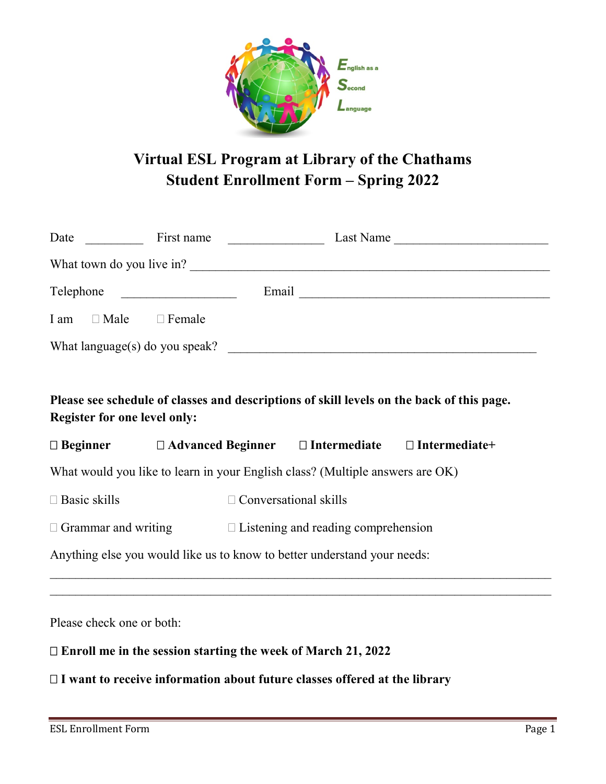

# **Virtual ESL Program at Library of the Chathams Student Enrollment Form – Spring 2022**

| Telephone                                                                                                                        |  |                                                                                   |  |
|----------------------------------------------------------------------------------------------------------------------------------|--|-----------------------------------------------------------------------------------|--|
| I am Male Female                                                                                                                 |  |                                                                                   |  |
|                                                                                                                                  |  |                                                                                   |  |
|                                                                                                                                  |  |                                                                                   |  |
| Please see schedule of classes and descriptions of skill levels on the back of this page.<br><b>Register for one level only:</b> |  |                                                                                   |  |
|                                                                                                                                  |  | $\Box$ Beginner $\Box$ Advanced Beginner $\Box$ Intermediate $\Box$ Intermediate+ |  |
| What would you like to learn in your English class? (Multiple answers are OK)                                                    |  |                                                                                   |  |
| $\Box$ Basic skills                                                                                                              |  | $\Box$ Conversational skills                                                      |  |
|                                                                                                                                  |  | $\Box$ Grammar and writing $\Box$ Listening and reading comprehension             |  |
| Anything else you would like us to know to better understand your needs:                                                         |  |                                                                                   |  |
|                                                                                                                                  |  |                                                                                   |  |
| Please check one or both:                                                                                                        |  |                                                                                   |  |
| $\Box$ Enroll me in the session starting the week of March 21, 2022                                                              |  |                                                                                   |  |

**I want to receive information about future classes offered at the library**